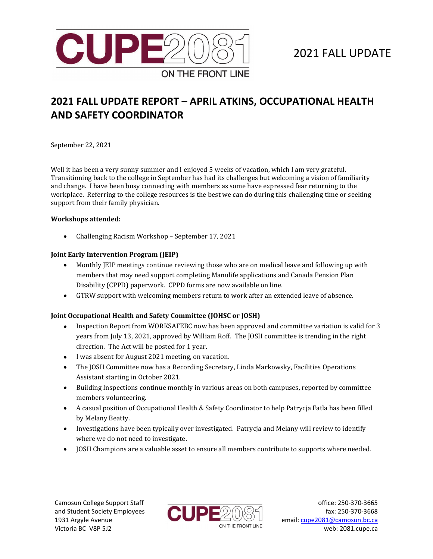

# 2021 FALL UPDATE

# **2021 FALL UPDATE REPORT – APRIL ATKINS, OCCUPATIONAL HEALTH AND SAFETY COORDINATOR**

September 22, 2021

Well it has been a very sunny summer and I enjoyed 5 weeks of vacation, which I am very grateful. Transitioning back to the college in September has had its challenges but welcoming a vision of familiarity and change. I have been busy connecting with members as some have expressed fear returning to the workplace. Referring to the college resources is the best we can do during this challenging time or seeking support from their family physician.

#### **Workshops attended:**

• Challenging Racism Workshop – September 17, 2021

## **Joint Early Intervention Program (JEIP)**

- Monthly JEIP meetings continue reviewing those who are on medical leave and following up with members that may need support completing Manulife applications and Canada Pension Plan Disability (CPPD) paperwork. CPPD forms are now available on line.
- GTRW support with welcoming members return to work after an extended leave of absence.

## **Joint Occupational Health and Safety Committee (JOHSC or JOSH)**

- Inspection Report from WORKSAFEBC now has been approved and committee variation is valid for 3 years from July 13, 2021, approved by William Roff. The JOSH committee is trending in the right direction. The Act will be posted for 1 year.
- I was absent for August 2021 meeting, on vacation.
- The JOSH Committee now has a Recording Secretary, Linda Markowsky, Facilities Operations Assistant starting in October 2021.
- Building Inspections continue monthly in various areas on both campuses, reported by committee members volunteering.
- A casual position of Occupational Health & Safety Coordinator to help Patrycja Fatla has been filled by Melany Beatty.
- Investigations have been typically over investigated. Patrycja and Melany will review to identify where we do not need to investigate.
- JOSH Champions are a valuable asset to ensure all members contribute to supports where needed.

Camosun College Support Staff and Student Society Employees 1931 Argyle Avenue Victoria BC V8P 5J2



office: 250-370-3665 fax: 250-370-3668 email[: cupe2081@camosun.bc.ca](mailto:cupe2081@camosun.bc.ca) web: 2081.cupe.ca